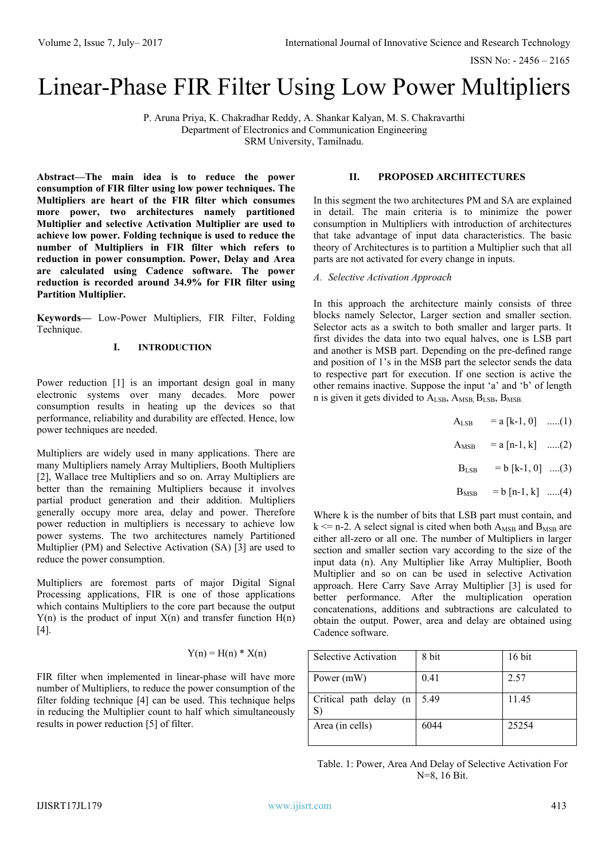ISSN No: - 2456 – 2165

# Linear-Phase FIR Filter Using Low Power Multipliers

P. Aruna Priya, K. Chakradhar Reddy, A. Shankar Kalyan, M. S. Chakravarthi Department of Electronics and Communication Engineering SRM University, Tamilnadu.

**Abstract—The main idea is to reduce the power consumption of FIR filter using low power techniques. The Multipliers are heart of the FIR filter which consumes more power, two architectures namely partitioned Multiplier and selective Activation Multiplier are used to achieve low power. Folding technique is used to reduce the number of Multipliers in FIR filter which refers to reduction in power consumption. Power, Delay and Area are calculated using Cadence software. The power reduction is recorded around 34.9% for FIR filter using Partition Multiplier.**

**Keywords—** Low-Power Multipliers, FIR Filter, Folding Technique.

## **I. INTRODUCTION**

Power reduction [1] is an important design goal in many electronic systems over many decades. More power consumption results in heating up the devices so that performance, reliability and durability are effected. Hence, low power techniques are needed.

Multipliers are widely used in many applications. There are many Multipliers namely Array Multipliers, Booth Multipliers [2], Wallace tree Multipliers and so on. Array Multipliers are better than the remaining Multipliers because it involves partial product generation and their addition. Multipliers generally occupy more area, delay and power. Therefore power reduction in multipliers is necessary to achieve low power systems. The two architectures namely Partitioned Multiplier (PM) and Selective Activation (SA) [3] are used to reduce the power consumption.

Multipliers are foremost parts of major Digital Signal Processing applications, FIR is one of those applications which contains Multipliers to the core part because the output  $Y(n)$  is the product of input  $X(n)$  and transfer function  $H(n)$ [4].

## $Y(n) = H(n) * X(n)$

FIR filter when implemented in linear-phase will have more number of Multipliers, to reduce the power consumption of the filter folding technique [4] can be used. This technique helps in reducing the Multiplier count to half which simultaneously results in power reduction [5] of filter.

#### **II. PROPOSED ARCHITECTURES**

In this segment the two architectures PM and SA are explained in detail. The main criteria is to minimize the power consumption in Multipliers with introduction of architectures that take advantage of input data characteristics. The basic theory of Architectures is to partition a Multiplier such that all parts are not activated for every change in inputs.

#### *A. Selective Activation Approach*

In this approach the architecture mainly consists of three blocks namely Selector, Larger section and smaller section. Selector acts as a switch to both smaller and larger parts. It first divides the data into two equal halves, one is LSB part and another is MSB part. Depending on the pre-defined range and position of 1's in the MSB part the selector sends the data to respective part for execution. If one section is active the other remains inactive. Suppose the input 'a' and 'b' of length n is given it gets divided to  $A_{LSB}$ ,  $A_{MSB}$ ,  $B_{LSB}$ ,  $B_{MSB}$ .

 $A_{LSB}$  = a [k-1, 0] .....(1)

 $A_{MSB}$  = a [n-1, k] .....(2)

$$
B_{LSB} = b [k-1, 0] ....(3)
$$

 $B_{MSB} = b [n-1, k]$  .....(4)

Where k is the number of bits that LSB part must contain, and  $k \le n-2$ . A select signal is cited when both  $A_{MSB}$  and  $B_{MSB}$  are either all-zero or all one. The number of Multipliers in larger section and smaller section vary according to the size of the input data (n). Any Multiplier like Array Multiplier, Booth Multiplier and so on can be used in selective Activation approach. Here Carry Save Array Multiplier [3] is used for better performance. After the multiplication operation concatenations, additions and subtractions are calculated to obtain the output. Power, area and delay are obtained using Cadence software.

| <b>Selective Activation</b>     | 8 bit | 16 bit |
|---------------------------------|-------|--------|
| Power (mW)                      | 0.41  | 2.57   |
| Critical path delay $(n)$<br>S) | 5.49  | 11.45  |
| Area (in cells)                 | 6044  | 25254  |

Table. 1: Power, Area And Delay of Selective Activation For N=8, 16 Bit.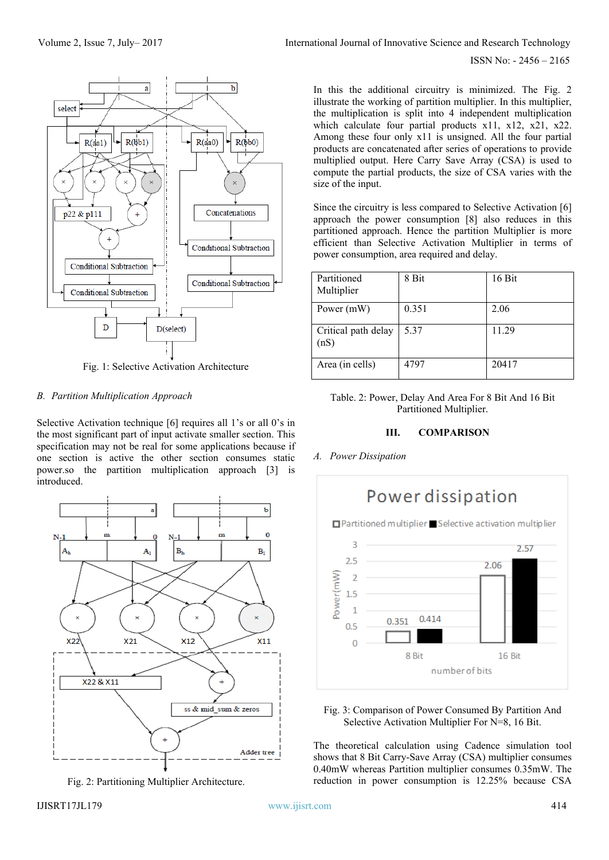

Fig. 1: Selective Activation Architecture

# *B. Partition Multiplication Approach*

Selective Activation technique [6] requires all 1's or all 0's in the most significant part of input activate smaller section. This specification may not be real for some applications because if one section is active the other section consumes static power.so the partition multiplication approach [3] is introduced.



Fig. 2: Partitioning Multiplier Architecture.

ISSN No: - 2456 – 2165

In this the additional circuitry is minimized. The Fig. 2 illustrate the working of partition multiplier. In this multiplier, the multiplication is split into 4 independent multiplication which calculate four partial products x11, x12, x21, x22. Among these four only x11 is unsigned. All the four partial products are concatenated after series of operations to provide multiplied output. Here Carry Save Array (CSA) is used to compute the partial products, the size of CSA varies with the size of the input.

Since the circuitry is less compared to Selective Activation [6] approach the power consumption [8] also reduces in this partitioned approach. Hence the partition Multiplier is more efficient than Selective Activation Multiplier in terms of power consumption, area required and delay.

| Partitioned<br>Multiplier   | 8 Bit | 16 Bit |
|-----------------------------|-------|--------|
| Power (mW)                  | 0.351 | 2.06   |
| Critical path delay<br>(nS) | 5.37  | 11.29  |
| Area (in cells)             | 4797  | 20417  |

# Table. 2: Power, Delay And Area For 8 Bit And 16 Bit Partitioned Multiplier.

# **III. COMPARISON**

*A. Power Dissipation*



Fig. 3: Comparison of Power Consumed By Partition And Selective Activation Multiplier For N=8, 16 Bit.

The theoretical calculation using Cadence simulation tool shows that 8 Bit Carry-Save Array (CSA) multiplier consumes 0.40mW whereas Partition multiplier consumes 0.35mW. The reduction in power consumption is 12.25% because CSA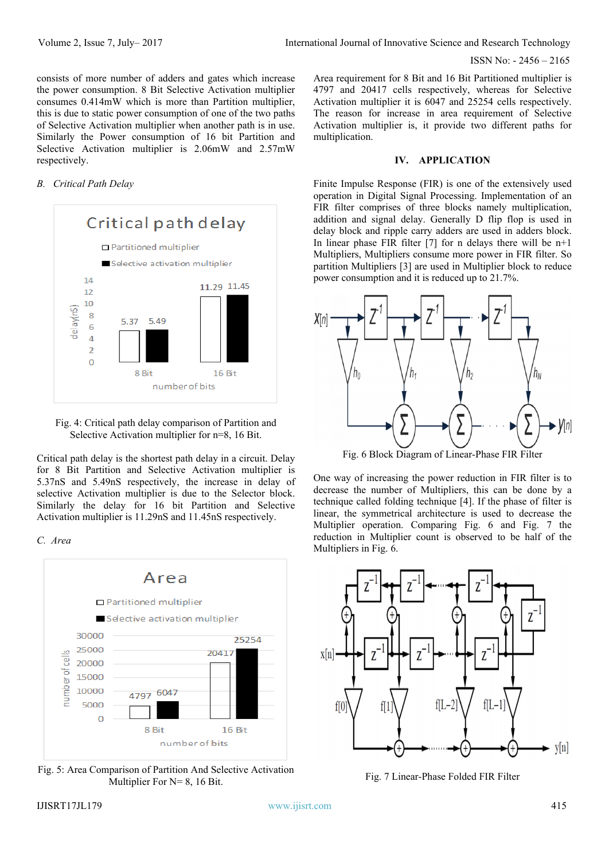ISSN No: - 2456 – 2165

consists of more number of adders and gates which increase the power consumption. 8 Bit Selective Activation multiplier consumes 0.414mW which is more than Partition multiplier, this is due to static power consumption of one of the two paths of Selective Activation multiplier when another path is in use. Similarly the Power consumption of 16 bit Partition and Selective Activation multiplier is 2.06mW and 2.57mW respectively.

# *B. Critical Path Delay*



Fig. 4: Critical path delay comparison of Partition and Selective Activation multiplier for n=8, 16 Bit.

Critical path delay is the shortest path delay in a circuit. Delay for 8 Bit Partition and Selective Activation multiplier is 5.37nS and 5.49nS respectively, the increase in delay of selective Activation multiplier is due to the Selector block. Similarly the delay for 16 bit Partition and Selective Activation multiplier is 11.29nS and 11.45nS respectively.

*C. Area*



Fig. 5: Area Comparison of Partition And Selective Activation Multiplier For N= 8, 16 Bit.

Area requirement for 8 Bit and 16 Bit Partitioned multiplier is 4797 and 20417 cells respectively, whereas for Selective Activation multiplier it is 6047 and 25254 cells respectively. The reason for increase in area requirement of Selective Activation multiplier is, it provide two different paths for multiplication.

#### **IV. APPLICATION**

Finite Impulse Response (FIR) is one of the extensively used operation in Digital Signal Processing. Implementation of an FIR filter comprises of three blocks namely multiplication, addition and signal delay. Generally D flip flop is used in delay block and ripple carry adders are used in adders block. In linear phase FIR filter  $[7]$  for n delays there will be n+1 Multipliers, Multipliers consume more power in FIR filter. So partition Multipliers [3] are used in Multiplier block to reduce power consumption and it is reduced up to 21.7%.



Fig. 6 Block Diagram of Linear-Phase FIR Filter

One way of increasing the power reduction in FIR filter is to decrease the number of Multipliers, this can be done by a technique called folding technique [4]. If the phase of filter is linear, the symmetrical architecture is used to decrease the Multiplier operation. Comparing Fig. 6 and Fig. 7 the reduction in Multiplier count is observed to be half of the Multipliers in Fig. 6.



Fig. 7 Linear-Phase Folded FIR Filter